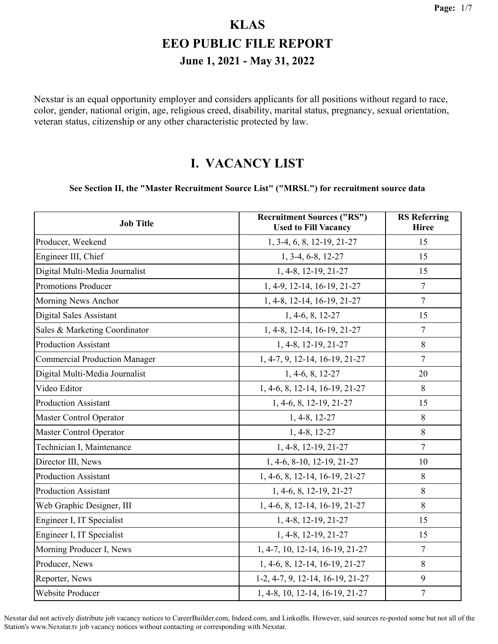Nexstar is an equal opportunity employer and considers applicants for all positions without regard to race, color, gender, national origin, age, religious creed, disability, marital status, pregnancy, sexual orientation, veteran status, citizenship or any other characteristic protected by law.

#### **I. VACANCY LIST**

#### **See Section II, the "Master Recruitment Source List" ("MRSL") for recruitment source data**

| <b>Job Title</b>                     | <b>Recruitment Sources ("RS")</b><br><b>Used to Fill Vacancy</b> | <b>RS</b> Referring<br><b>Hiree</b> |
|--------------------------------------|------------------------------------------------------------------|-------------------------------------|
| Producer, Weekend                    | 1, 3-4, 6, 8, 12-19, 21-27                                       | 15                                  |
| Engineer III, Chief                  | 1, 3-4, 6-8, 12-27                                               | 15                                  |
| Digital Multi-Media Journalist       | 1, 4-8, 12-19, 21-27                                             | 15                                  |
| Promotions Producer                  | 1, 4-9, 12-14, 16-19, 21-27                                      | 7                                   |
| Morning News Anchor                  | 1, 4-8, 12-14, 16-19, 21-27                                      | $\tau$                              |
| Digital Sales Assistant              | 1, 4-6, 8, 12-27                                                 | 15                                  |
| Sales & Marketing Coordinator        | 1, 4-8, 12-14, 16-19, 21-27                                      | 7                                   |
| <b>Production Assistant</b>          | 1, 4-8, 12-19, 21-27                                             | 8                                   |
| <b>Commercial Production Manager</b> | 1, 4-7, 9, 12-14, 16-19, 21-27                                   | $\overline{7}$                      |
| Digital Multi-Media Journalist       | 1, 4-6, 8, 12-27                                                 | 20                                  |
| Video Editor                         | 1, 4-6, 8, 12-14, 16-19, 21-27                                   | 8                                   |
| <b>Production Assistant</b>          | 1, 4-6, 8, 12-19, 21-27                                          | 15                                  |
| Master Control Operator              | $1, 4-8, 12-27$                                                  | $\,8\,$                             |
| Master Control Operator              | 1, 4-8, 12-27                                                    | 8                                   |
| Technician I, Maintenance            | 1, 4-8, 12-19, 21-27                                             | $\tau$                              |
| Director III, News                   | 1, 4-6, 8-10, 12-19, 21-27                                       | 10                                  |
| <b>Production Assistant</b>          | 1, 4-6, 8, 12-14, 16-19, 21-27                                   | 8                                   |
| <b>Production Assistant</b>          | 1, 4-6, 8, 12-19, 21-27                                          | 8                                   |
| Web Graphic Designer, III            | 1, 4-6, 8, 12-14, 16-19, 21-27                                   | 8                                   |
| Engineer I, IT Specialist            | 1, 4-8, 12-19, 21-27                                             | 15                                  |
| Engineer I, IT Specialist            | 1, 4-8, 12-19, 21-27                                             | 15                                  |
| Morning Producer I, News             | 1, 4-7, 10, 12-14, 16-19, 21-27                                  | 7                                   |
| Producer, News                       | 1, 4-6, 8, 12-14, 16-19, 21-27                                   | 8                                   |
| Reporter, News                       | 1-2, 4-7, 9, 12-14, 16-19, 21-27                                 | 9                                   |
| Website Producer                     | 1, 4-8, 10, 12-14, 16-19, 21-27                                  | 7                                   |

Nexstar did not actively distribute job vacancy notices to CareerBuilder.com, Indeed.com, and LinkedIn. However, said sources re-posted some but not all of the Station's www.Nexstar.tv job vacancy notices without contacting or corresponding with Nexstar.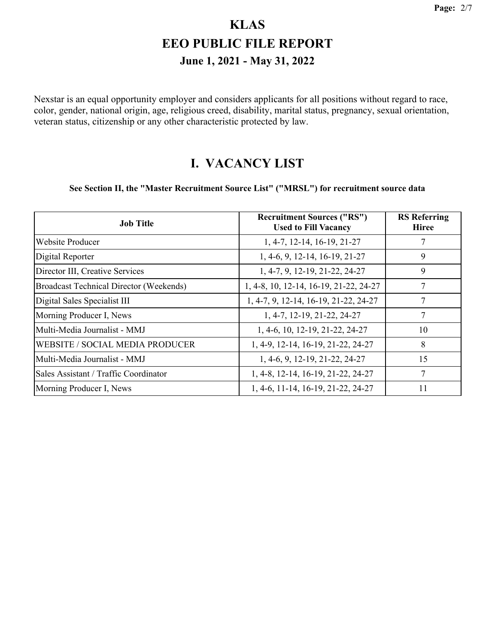Nexstar is an equal opportunity employer and considers applicants for all positions without regard to race, color, gender, national origin, age, religious creed, disability, marital status, pregnancy, sexual orientation, veteran status, citizenship or any other characteristic protected by law.

#### **I. VACANCY LIST**

#### **See Section II, the "Master Recruitment Source List" ("MRSL") for recruitment source data**

| <b>Job Title</b>                               | <b>Recruitment Sources ("RS")</b><br><b>Used to Fill Vacancy</b> | <b>RS</b> Referring<br><b>Hiree</b> |
|------------------------------------------------|------------------------------------------------------------------|-------------------------------------|
| Website Producer                               | 1, 4-7, 12-14, 16-19, 21-27                                      | 7                                   |
| Digital Reporter                               | 1, 4-6, 9, 12-14, 16-19, 21-27                                   | 9                                   |
| Director III, Creative Services                | 1, 4-7, 9, 12-19, 21-22, 24-27                                   | 9                                   |
| <b>Broadcast Technical Director (Weekends)</b> | 1, 4-8, 10, 12-14, 16-19, 21-22, 24-27                           | 7                                   |
| Digital Sales Specialist III                   | 1, 4-7, 9, 12-14, 16-19, 21-22, 24-27                            | 7                                   |
| Morning Producer I, News                       | 1, 4-7, 12-19, 21-22, 24-27                                      | 7                                   |
| Multi-Media Journalist - MMJ                   | 1, 4-6, 10, 12-19, 21-22, 24-27                                  | 10                                  |
| WEBSITE / SOCIAL MEDIA PRODUCER                | 1, 4-9, 12-14, 16-19, 21-22, 24-27                               | 8                                   |
| Multi-Media Journalist - MMJ                   | 1, 4-6, 9, 12-19, 21-22, 24-27                                   | 15                                  |
| Sales Assistant / Traffic Coordinator          | 1, 4-8, 12-14, 16-19, 21-22, 24-27                               | 7                                   |
| Morning Producer I, News                       | 1, 4-6, 11-14, 16-19, 21-22, 24-27                               | 11                                  |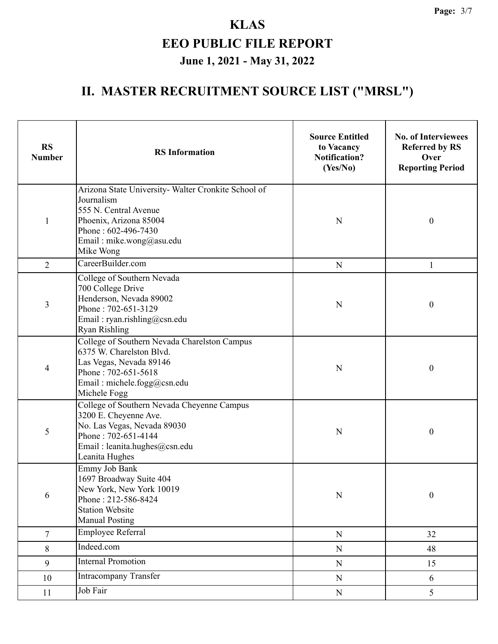| <b>RS</b><br><b>Number</b> | <b>RS</b> Information                                                                                                                                                                | <b>Source Entitled</b><br>to Vacancy<br><b>Notification?</b><br>(Yes/No) | <b>No. of Interviewees</b><br><b>Referred by RS</b><br>Over<br><b>Reporting Period</b> |
|----------------------------|--------------------------------------------------------------------------------------------------------------------------------------------------------------------------------------|--------------------------------------------------------------------------|----------------------------------------------------------------------------------------|
| $\mathbf{1}$               | Arizona State University- Walter Cronkite School of<br>Journalism<br>555 N. Central Avenue<br>Phoenix, Arizona 85004<br>Phone: 602-496-7430<br>Email: mike.wong@asu.edu<br>Mike Wong | N                                                                        | $\boldsymbol{0}$                                                                       |
| $\overline{2}$             | CareerBuilder.com                                                                                                                                                                    | ${\bf N}$                                                                | 1                                                                                      |
| 3                          | College of Southern Nevada<br>700 College Drive<br>Henderson, Nevada 89002<br>Phone: 702-651-3129<br>Email: ryan.rishling@csn.edu<br><b>Ryan Rishling</b>                            | N                                                                        | $\boldsymbol{0}$                                                                       |
| 4                          | College of Southern Nevada Charelston Campus<br>6375 W. Charelston Blvd.<br>Las Vegas, Nevada 89146<br>Phone: 702-651-5618<br>Email: michele.fogg@csn.edu<br>Michele Fogg            | N                                                                        | $\boldsymbol{0}$                                                                       |
| 5                          | College of Southern Nevada Cheyenne Campus<br>3200 E. Cheyenne Ave.<br>No. Las Vegas, Nevada 89030<br>Phone: 702-651-4144<br>Email: leanita.hughes@csn.edu<br>Leanita Hughes         | N                                                                        | $\boldsymbol{0}$                                                                       |
| 6                          | Emmy Job Bank<br>1697 Broadway Suite 404<br>New York, New York 10019<br>Phone: 212-586-8424<br><b>Station Website</b><br><b>Manual Posting</b>                                       | ${\bf N}$                                                                | $\boldsymbol{0}$                                                                       |
| $\overline{7}$             | Employee Referral                                                                                                                                                                    | ${\bf N}$                                                                | 32                                                                                     |
| 8                          | Indeed.com                                                                                                                                                                           | ${\bf N}$                                                                | 48                                                                                     |
| 9                          | <b>Internal Promotion</b>                                                                                                                                                            | ${\bf N}$                                                                | 15                                                                                     |
| 10                         | Intracompany Transfer                                                                                                                                                                | ${\bf N}$                                                                | 6                                                                                      |
| 11                         | Job Fair                                                                                                                                                                             | ${\bf N}$                                                                | 5                                                                                      |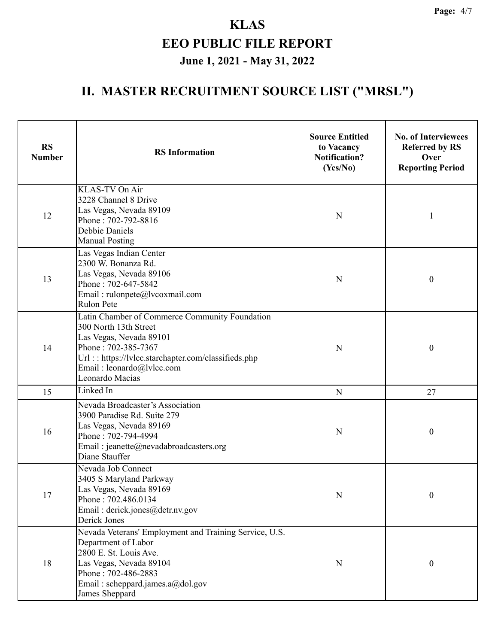| <b>RS</b><br><b>Number</b> | <b>RS</b> Information                                                                                                                                                                                                            | <b>Source Entitled</b><br>to Vacancy<br><b>Notification?</b><br>(Yes/No) | <b>No. of Interviewees</b><br><b>Referred by RS</b><br>Over<br><b>Reporting Period</b> |
|----------------------------|----------------------------------------------------------------------------------------------------------------------------------------------------------------------------------------------------------------------------------|--------------------------------------------------------------------------|----------------------------------------------------------------------------------------|
| 12                         | KLAS-TV On Air<br>3228 Channel 8 Drive<br>Las Vegas, Nevada 89109<br>Phone: 702-792-8816<br>Debbie Daniels<br><b>Manual Posting</b>                                                                                              | N                                                                        | 1                                                                                      |
| 13                         | Las Vegas Indian Center<br>2300 W. Bonanza Rd.<br>Las Vegas, Nevada 89106<br>Phone: 702-647-5842<br>Email: rulonpete@lvcoxmail.com<br>Rulon Pete                                                                                 | N                                                                        | $\boldsymbol{0}$                                                                       |
| 14                         | Latin Chamber of Commerce Community Foundation<br>300 North 13th Street<br>Las Vegas, Nevada 89101<br>Phone: 702-385-7367<br>Url:: https://lvlcc.starchapter.com/classifieds.php<br>Email: leonardo@lvlcc.com<br>Leonardo Macias | N                                                                        | $\boldsymbol{0}$                                                                       |
| 15                         | Linked In                                                                                                                                                                                                                        | N                                                                        | 27                                                                                     |
| 16                         | Nevada Broadcaster's Association<br>3900 Paradise Rd. Suite 279<br>Las Vegas, Nevada 89169<br>Phone: 702-794-4994<br>Email: jeanette@nevadabroadcasters.org<br>Diane Stauffer                                                    | N                                                                        | $\boldsymbol{0}$                                                                       |
| 17                         | Nevada Job Connect<br>3405 S Maryland Parkway<br>Las Vegas, Nevada 89169<br>Phone: 702.486.0134<br>Email: derick.jones@detr.nv.gov<br>Derick Jones                                                                               | N                                                                        | $\boldsymbol{0}$                                                                       |
| 18                         | Nevada Veterans' Employment and Training Service, U.S.<br>Department of Labor<br>2800 E. St. Louis Ave.<br>Las Vegas, Nevada 89104<br>Phone: 702-486-2883<br>Email: scheppard.james.a@dol.gov<br>James Sheppard                  | N                                                                        | $\boldsymbol{0}$                                                                       |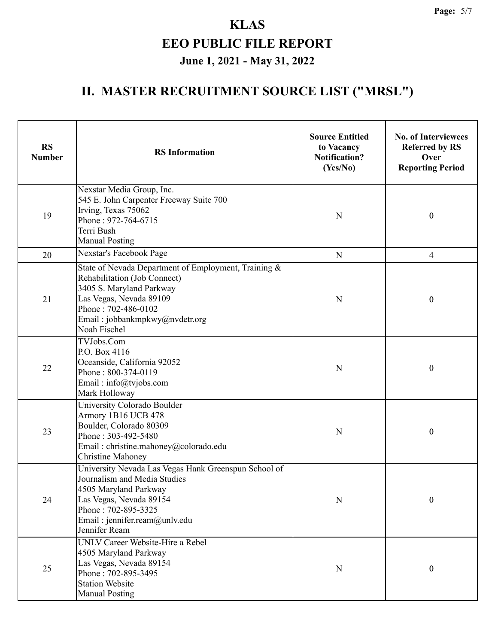| <b>RS</b><br><b>Number</b> | <b>RS</b> Information                                                                                                                                                                                                | <b>Source Entitled</b><br>to Vacancy<br><b>Notification?</b><br>(Yes/No) | <b>No. of Interviewees</b><br><b>Referred by RS</b><br>Over<br><b>Reporting Period</b> |
|----------------------------|----------------------------------------------------------------------------------------------------------------------------------------------------------------------------------------------------------------------|--------------------------------------------------------------------------|----------------------------------------------------------------------------------------|
| 19                         | Nexstar Media Group, Inc.<br>545 E. John Carpenter Freeway Suite 700<br>Irving, Texas 75062<br>Phone: 972-764-6715<br>Terri Bush<br><b>Manual Posting</b>                                                            | N                                                                        | $\boldsymbol{0}$                                                                       |
| 20                         | Nexstar's Facebook Page                                                                                                                                                                                              | N                                                                        | 4                                                                                      |
| 21                         | State of Nevada Department of Employment, Training &<br>Rehabilitation (Job Connect)<br>3405 S. Maryland Parkway<br>Las Vegas, Nevada 89109<br>Phone: 702-486-0102<br>Email: jobbankmpkwy@nvdetr.org<br>Noah Fischel | N                                                                        | $\boldsymbol{0}$                                                                       |
| 22                         | TVJobs.Com<br>P.O. Box 4116<br>Oceanside, California 92052<br>Phone: 800-374-0119<br>Email: info@tvjobs.com<br>Mark Holloway                                                                                         | N                                                                        | $\boldsymbol{0}$                                                                       |
| 23                         | University Colorado Boulder<br>Armory 1B16 UCB 478<br>Boulder, Colorado 80309<br>Phone: 303-492-5480<br>Email: christine.mahoney@colorado.edu<br><b>Christine Mahoney</b>                                            | N                                                                        | $\boldsymbol{0}$                                                                       |
| 24                         | University Nevada Las Vegas Hank Greenspun School of<br>Journalism and Media Studies<br>4505 Maryland Parkway<br>Las Vegas, Nevada 89154<br>Phone: 702-895-3325<br>Email: jennifer.ream@unlv.edu<br>Jennifer Ream    | N                                                                        | $\boldsymbol{0}$                                                                       |
| 25                         | UNLV Career Website-Hire a Rebel<br>4505 Maryland Parkway<br>Las Vegas, Nevada 89154<br>Phone: 702-895-3495<br><b>Station Website</b><br><b>Manual Posting</b>                                                       | $\mathbf N$                                                              | $\boldsymbol{0}$                                                                       |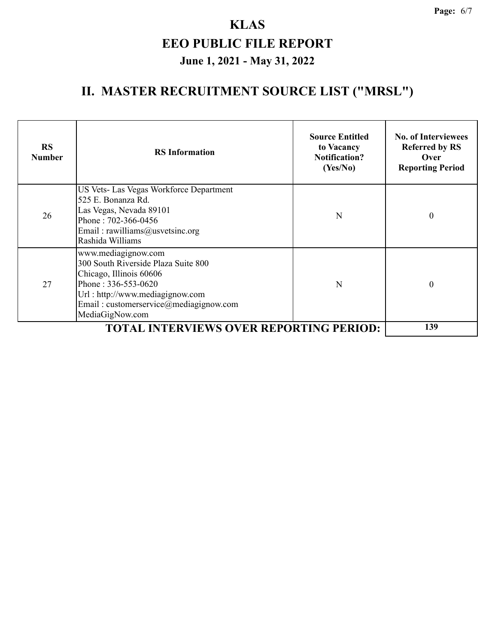| <b>RS</b><br><b>Number</b> | <b>RS</b> Information                                                                                                                                                                                         | <b>Source Entitled</b><br>to Vacancy<br><b>Notification?</b><br>(Yes/No) | <b>No. of Interviewees</b><br><b>Referred by RS</b><br>Over<br><b>Reporting Period</b> |
|----------------------------|---------------------------------------------------------------------------------------------------------------------------------------------------------------------------------------------------------------|--------------------------------------------------------------------------|----------------------------------------------------------------------------------------|
| 26                         | US Vets- Las Vegas Workforce Department<br>525 E. Bonanza Rd.<br>Las Vegas, Nevada 89101<br>Phone: 702-366-0456<br>Email: rawilliams@usvetsinc.org<br>Rashida Williams                                        | N                                                                        | $\theta$                                                                               |
| 27                         | www.mediagignow.com<br>300 South Riverside Plaza Suite 800<br>Chicago, Illinois 60606<br>Phone: 336-553-0620<br>Url : http://www.mediagignow.com<br>Email: customerservice@mediagignow.com<br>MediaGigNow.com | N                                                                        | $\theta$                                                                               |
|                            | <b>TOTAL INTERVIEWS OVER REPORTING PERIOD:</b>                                                                                                                                                                |                                                                          | 139                                                                                    |